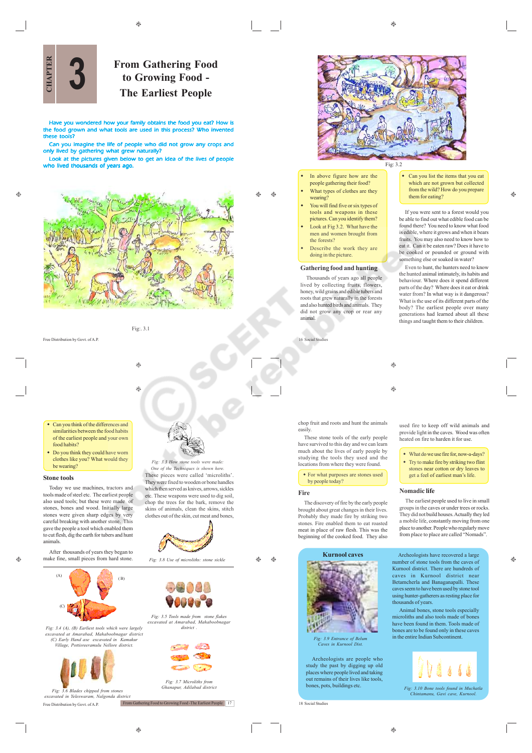ക  $\bigoplus$   $\hat{c}$ 



# **From Gathering Food to Growing Food - 3 The Earliest People**

Have you wondered how your family obtains the food you eat? How is the food grown and what tools are used in this process? Who invented these tools?

Can you imagine the life of people who did not grow any crops and only lived by gathering what grew naturally?

Look at the pictures given below to get an idea of the live who lived thousands of years ago.



Fig:. 3.1

۳

Free Distribution by Govt. of A.P.

۳

- Can you think of the differences and similarities between the food habits of the earliest people and your own food habits?
- Do you think they could have worn clothes like you? What would they be wearing?

#### **Stone tools**

Today we use machines, tractors and tools made of steel etc. The earliest people also used tools; but these were made of stones, bones and wood. Initially large stones, cones and wood. Initially hage careful breaking with another stone. This gave the people a tool which enabled them to cut flesh, dig the earth for tubers and hunt animals.

 $\hat{\mathbf{e}}$ 

Ó.

After thousands of years they began to make fine, small pieces from hard stone.  $(\Lambda)$ 



*Fig: 3.4 (A), (B) Earliest tools which were largely excavated at Amarabad, Mahaboobnagar district (C) Early Hand axe excavated in Kamakur Village, Pottisreeramulu Nellore district.*



Free Distribution by Govt. of A.P. *Fig: 3.6 Blades chipped from stones excavated in Yeleswaram, Nalgonda district*

*Fig: 3.3 How stone tools were n One of the Techniques is shown here.* These pieces were called 'microliths'. They were fixed to wooden or bone handles which then served as knives, arrows, sickles etc. These weapons were used to dig soil, chop the trees for the bark, remove the skins of animals, clean the skins, stitch clothes out of the skin, cut meat and bones,



*Fig: 3.5 Tools made from stone flakes excavated at Amarabad, Mahaboobnagar district .*

 $\sqrt{2}$ 

*Fig: 3.7 Microliths from Ghanapur, Adilabad districtions* 

From Gathering Food to Growing Food -The Earliest People 17

 $^{\circ}$ 

Æ۵

٨



*Fig: 3.9 Entrance of Belum Caves in Kurnool Dist.*

Archeologists are people who study the past by digging up old places where people lived and taking out remains of their lives like tools, bones, pots, buildings etc.

18 Social Studies



- In above figure how are the people gathering their food? What types of clothes are they
- wearing? You will find five or six types of tools and weapons in these pictures. Can you identify them?
- Look at Fig 3.2. What have the men and women brought from the forests?
- Describe the work they are doing in the picture.

# **Gathering food and hunting**

Thousands of years ago all people lived by collecting fruits, flowers honey, wild grains and edible tubers and roots that grew naturally in the forests and also hunted birds and animals. They did not grow any crop or rear any animal.

chop fruit and roots and hunt the animals

by people today?

These stone tools of the early people have survived to this day and we can learn much about the lives of early people by studying the tools they used and the locations from where they were found. For what purposes are stones used

The discovery of fire by the early people brought about great changes in their lives. Probably they made fire by striking two stones. Fire enabled them to eat roasted meat in place of raw flesh. This was the beginning of the cooked food. They also

16 Social Studies

easily.

**Fire**

 Can you list the items that you eat which are not grown but collected from the wild? How do you prepare them for eating?

If you were sent to a forest would you be able to find out what edible food can be found there? You need to know what food is edible, where it grows and when it bears fruits. You may also need to know how to eat it. Can it be eaten raw? Does it have to be cooked or pounded or ground with something else or soaked in water?

Even to hunt, the hunters need to know the hunted animal intimately, its habits and behaviour. Where does it spend different parts of the day? Where does it eat or drink water from? In what way is it dangerous? What is the use of its different parts of the body? The earliest people over many generations had learned about all these things and taught them to their children.

 $\bigoplus$ 

⊕

used fire to keep off wild animals and provide light in the caves. Wood was often eated on fire to harden it for use.

- What do we use fire for, now-a-days?
- Try to make fire by striking two flint
- stones near cotton or dry leaves to get a feel of earliest man's life.

#### **Nomadic life**

The earliest people used to live in small groups in the caves or under trees or rocks. They did not build houses. Actually they led a mobile life, constantly moving from one place to another. People who regularly move from place to place are called "Nomads".





*Fig: 3.10 Bone tools found in Muchatla Chintamanu, Gavi cave, Kurnool.*

 $\bigoplus$ 

♠

A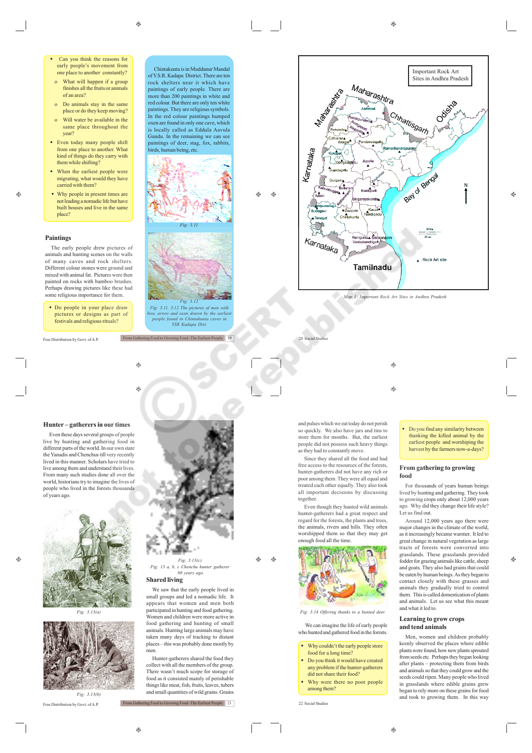#### $\circledcirc$

- o What will happen if a group finishes all the fruits or animals of an area?
- o Do animals stay in the same place or do they keep moving?
- Will water be available in the same place throughout the year?
- Even today many people shift from one place to another. What kind of things do they carry with them while shifting?
- When the earliest people were migrating, what would they have carried with them?
- Why people in present times are not leading a nomadic life but have built houses and live in the same place?

#### **Paintings**

Ø.

The early people drew pictures of animals and hunting scenes on the walls of many caves and rock shelters. Different colour stones were ground and mixed with animal fat. Pictures were then painted on rocks with bamboo brushes. Perhaps drawing pictures like these had some religious importance for them.

 Do people in your place draw pictures or designs as part of festivals and religious rituals?

Free Distribution by Govt. of A.P.

Chintakunta is in Muddanur Mandal of Y.S.R. Kadapa District. There are ten rock shelters near it which have paintings of early people. There are more than 200 paintings in white and red colour. But there are only ten white paintings. They are religious symbols. In the red colour paintings humped oxen are found in only one cave, which is locally called as Eddula Aavula Gundu. In the remaining we can see paintings of deer, stag, fox, rabbits, birds, human being, etc.



 $\bigcirc$  $\bigoplus$ 



*Fig: 3.11, 3.12 The pictures of men with bow, arrow and oxen drawn by the earliest people found in Chintakunta caves in YSR Kadapa Dist.*

From Gathering Food to Growing Food -The Earliest People 19



 $\bigcirc$ 

20 Social Studies

 $\circledcirc$ 

 $\bigcirc$ 

and pulses which we eat today do not perish so quickly. We also have jars and tins to store them for months. But, the earliest people did not possess such heavy things as they had to constantly move.

Since they shared all the food and had free access to the resources of the forests, hunter-gatherers did not have any rich or poor among them. They were all equal and treated each other equally. They also took all important decisions by discussing together.

Even though they hunted wild animals hunter-gatherers had a great respect and regard for the forests, the plants and trees, the animals, rivers and hills. They often worshipped them so that they may get



*Fig: 3.14 Offering thanks to a hu* 

We can imagine the life of early people who hunted and gathered food in the forests.

- Why couldn't the early people store food for a long time?
- Do you think it would have created any problem if the hunter-gatherers
- did not share their food? Why were there no poor people among them?

22 Social Studies

 $\triangle$ 

۳

۳

# **Hunter – gatherers in our times**

Even these days several groups of people live by hunting and gathering food in different parts of the world. In our own state the Yanadis and Chenchus till very recently lived in this manner. Scholars have tried to live among them and understand their lives. From many such studies done all over the world, historians try to imagine the lives of people who lived in the forests thousands of years ago.



*Fig: 3.13(a)*



Free Distribution by Govt. of A.P.



*Fig: 3.13(c) Fig: 13 a, b, c Chenchu hunter gatherer 80 years ago.*

Æ۵ ⊕

#### **Shared living**

We saw that the early people lived in small groups and led a nomadic life. It appears that women and men both participated in hunting and food gathering. Women and children were more active in food gathering and hunting of small animals. Hunting large animals may have taken many days of tracking to distant places – this was probably done mostly by men.

Hunter-gatherers shared the food they collect with all the members of the group. There wasn't much scope for storage of food as it consisted mainly of perishable things like meat, fish, fruits, leaves, tubers and small quantities of wild grains. Grains

From Gathering Food to Growing Food -The Earliest People 21



thanking the killed animal by the earliest people and worshiping the harvest by the farmers now-a-days?

Do you find any similarity between

## **From gathering to growing food**

For thousands of years human beings lived by hunting and gathering. They took to growing crops only about 12,000 years ago. Why did they change their life style? Let us find out.

Around 12,000 years ago there were major changes in the climate of the world, as it increasingly became warmer. It led to great change in natural vegetation as large tracts of forests were converted into grasslands. These grasslands provided fodder for grazing animals like cattle, sheep and goats. They also had grains that could be eaten by human beings. As they began to contact closely with these grasses and animals they gradually tried to control them. This is called domestication of plants and animals. Let us see what this meant and what it led to.

۵

# **Learning to grow crops and tend animals**

Men, women and children probably keenly observed the places where edible plants were found, how new plants sprouted from seeds etc. Perhaps they began looking after plants – protecting them from birds and animals so that they could grow and the seeds could ripen. Many people who lived in grasslands where edible grains grew began to rely more on these grains for food and took to growing them. In this way

 $^{\circ}$ 

 $\oplus$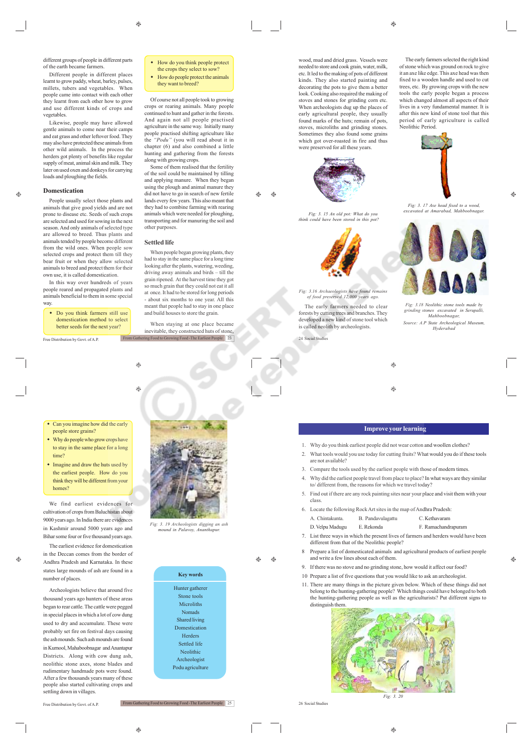Different people in different places learnt to grow paddy, wheat, barley, pulses, millets, tubers and vegetables. When people came into contact with each other they learnt from each other how to grow and use different kinds of crops and vegetables.

Likewise, people may have allowed gentle animals to come near their camps and eat grass and other leftover food. They may also have protected these animals from other wild animals. In the process the herders got plenty of benefits like regular supply of meat, animal skin and milk. They later on used oxen and donkeys for carrying loads and ploughing the fields.

#### **Domestication**  $\triangle$

People usually select those plants and animals that give good yields and are not prone to disease etc. Seeds of such crops are selected and used for sowing in the next season. And only animals of selected type are allowed to breed. Thus plants and animals tended by people become different from the wild ones. When people sow selected crops and protect them till they bear fruit or when they allow selected animals to breed and protect them for their own use, it is called domestication.

In this way over hundreds of years people reared and propagated plants and animals beneficial to them in some special way

 Do you think farmers still use domestication method to select better seeds for the next year?

Free Distribution by Govt. of A.P.

• How do you think people protect the crops they select to sow How do people protect the animals they want to breed?

Of course not all people took to growing crops or rearing animals. Many people continued to hunt and gather in the forests. And again not all people practised agriculture in the same way. Initially many people practised shifting agriculture like "Podu" (you will read about it in chapter (6) and also combined a little hunting and gathering from the forests along with growing crops.

Some of them realised that the fertility of the soil could be maintained by tilling and applying manure. When they began using the plough and animal manure they did not have to go in search of new fertile lands every few years. This also meant that they had to combine farming with rearing animals which were needed for ploughing, transporting and for manuring the soil and other purposes.

 $\triangle$  $\bigoplus$ 

#### **Settled life**

 $\qquad \qquad \textcircled{\scriptsize{9}}$ 

۵

When people began growing plants, they had to stay in the same place for a long time looking after the plants, watering, weeding, driving away animals and birds – till the grain ripened. At the harvest time they got so much grain that they could not eat it all at once. It had to be stored for long periods - about six months to one year. All this meant that people had to stay in one place and build houses to store the grain.

When staying at one place became inevitable, they constructed huts of stone, ering Food to Growing Food - The Earliest People 23



wood, mud and dried grass. Vessels were needed to store and cook grain, water, milk, etc. It led to the making of pots of different kinds. They also started painting and decorating the pots to give them a better look. Cooking also required the making of stoves and stones for grinding corn etc. When archeologists dug up the places of early agricultural people, they usually found marks of the huts; remain of pots, stoves, microliths and grinding stones. Sometimes they also found some grains which got over-roasted in fire and thus were preserved for all these years.



*Fig: 3. 15 An old pot: What do you think could have been stored in this pot?*



*Fig: 3.16 Archaeologists have found remains of food preserved 12,000 years ago.* The early farmers needed to clear

forests by cutting trees and branches. They developed a new kind of stone tool which is called neolith by archeologists.

The early farmers selected the right kind of stone which was ground on rock to give it an axe like edge. This axe head was then fixed to a wooden handle and used to cut trees, etc. By growing crops with the new tools the early people began a process which changed almost all aspects of their lives in a very fundamental manner. It is after this new kind of stone tool that this period of early agriculture is called Neolithic Period.



*Fig: 3. 17 Axe head fixed to a wood, excavated at Amarabad, Mahboobnagar.*

Ô.



*Fig: 3.18 Neolithic stone tools made by grinding stones excavated in Serupalli, Mahboobnagar, Source: A.P State Archeological Museum, Hyderabad*

24 Social Studies



# $\bigcirc$

# **Improve your learning**

- 1. Why do you think earliest people did not wear cotton and woollen clothes?
- 2. What tools would you use today for cutting fruits? What would you do if these tools are not available?
- 3. Compare the tools used by the earliest people with those of modern times.
- 4. Why did the earliest people travel from place to place? In what ways are they similar to/ different from, the reasons for which we travel today?
- 5. Find out if there are any rock painting sites near your place and visit them with your class.
- 6. Locate the following Rock Art sites in the map of Andhra Pradesh:
	- A. Chintakunta. B. Pandavulagattu C. Kethavaram D. Velpu Madugu E. Rekonda F. Ramachandrapuram
- 7. List three ways in which the present lives of farmers and herders would have been different from that of the Neolithic people?
- 8 Prepare a list of domesticated animals and agricultural products of earliest people and write a few lines about each of them.
- 9. If there was no stove and no grinding stone, how would it affect our food?
- 10 Prepare a list of five questions that you would like to ask an archeologist.
- 11. There are many things in the picture given below. Which of these things did not belong to the hunting-gathering people? Which things could have belonged to both the hunting-gathering people as well as the agriculturists? Put different signs to distinguish them.



26 Social Studies

 $\oplus$ 

time?

We find earliest evidences for cultivation of crops from Baluchistan about 9000 years ago. In India there are evidences in Kashmir around 5000 years ago and Bihar some four or five thousand years ago.

The earliest evidence for domestication

• Can you imagine how did the early people store grains? • Why do people who grow crops have to stay in the same place for a long

• Imagine and draw the huts used by

in the Deccan comes from the border of Andhra Pradesh and Karnataka. In these states large mounds of ash are found in a number of places.

> Archeologists believe that around five thousand years ago hunters of these areas began to rear cattle. The cattle were pegged in special places in which a lot of cow dung used to dry and accumulate. These were probably set fire on festival days causing the ash mounds. Such ash mounds are found in Kurnool, Mahaboobnagar and Anantapur Districts. Along with cow dung ash, neolithic stone axes, stone blades and rudimentary handmade pots were found. After a few thousands years many of these people also started cultivating crops and settling down in villages



**Service** 

**Key words**

 $\bigoplus$ ⊕

Hunter gatherer Stone tools Microliths Nomads Shared living Domestication Herders Settled life Neolithic Archeologist

Podu agriculture

 $^{\circ}$ 

♠